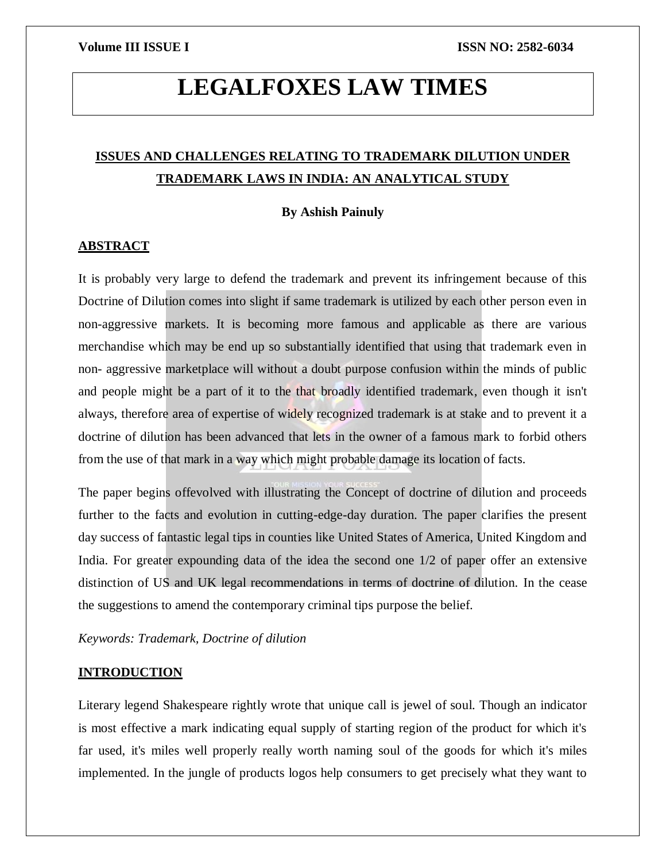# **LEGALFOXES LAW TIMES**

## **ISSUES AND CHALLENGES RELATING TO TRADEMARK DILUTION UNDER TRADEMARK LAWS IN INDIA: AN ANALYTICAL STUDY**

### **By Ashish Painuly**

### **ABSTRACT**

It is probably very large to defend the trademark and prevent its infringement because of this Doctrine of Dilution comes into slight if same trademark is utilized by each other person even in non-aggressive markets. It is becoming more famous and applicable as there are various merchandise which may be end up so substantially identified that using that trademark even in non- aggressive marketplace will without a doubt purpose confusion within the minds of public and people might be a part of it to the that broadly identified trademark, even though it isn't always, therefore area of expertise of widely recognized trademark is at stake and to prevent it a doctrine of dilution has been advanced that lets in the owner of a famous mark to forbid others from the use of that mark in a way which might probable damage its location of facts.

The paper begins offevolved with illustrating the Concept of doctrine of dilution and proceeds further to the facts and evolution in cutting-edge-day duration. The paper clarifies the present day success of fantastic legal tips in counties like United States of America, United Kingdom and India. For greater expounding data of the idea the second one 1/2 of paper offer an extensive distinction of US and UK legal recommendations in terms of doctrine of dilution. In the cease the suggestions to amend the contemporary criminal tips purpose the belief.

*Keywords: Trademark, Doctrine of dilution*

#### **INTRODUCTION**

Literary legend Shakespeare rightly wrote that unique call is jewel of soul. Though an indicator is most effective a mark indicating equal supply of starting region of the product for which it's far used, it's miles well properly really worth naming soul of the goods for which it's miles implemented. In the jungle of products logos help consumers to get precisely what they want to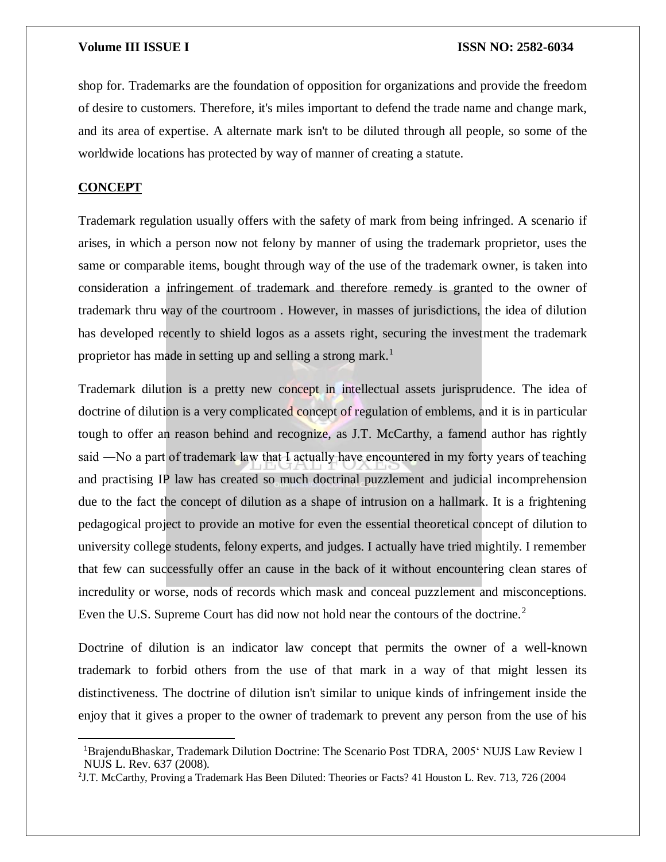shop for. Trademarks are the foundation of opposition for organizations and provide the freedom of desire to customers. Therefore, it's miles important to defend the trade name and change mark, and its area of expertise. A alternate mark isn't to be diluted through all people, so some of the worldwide locations has protected by way of manner of creating a statute.

#### **CONCEPT**

 $\overline{a}$ 

Trademark regulation usually offers with the safety of mark from being infringed. A scenario if arises, in which a person now not felony by manner of using the trademark proprietor, uses the same or comparable items, bought through way of the use of the trademark owner, is taken into consideration a infringement of trademark and therefore remedy is granted to the owner of trademark thru way of the courtroom . However, in masses of jurisdictions, the idea of dilution has developed recently to shield logos as a assets right, securing the investment the trademark proprietor has made in setting up and selling a strong mark.<sup>1</sup>

Trademark dilution is a pretty new concept in intellectual assets jurisprudence. The idea of doctrine of dilution is a very complicated concept of regulation of emblems, and it is in particular tough to offer an reason behind and recognize, as J.T. McCarthy, a famend author has rightly said ―No a part of trademark law that I actually have encountered in my forty years of teaching and practising IP law has created so much doctrinal puzzlement and judicial incomprehension due to the fact the concept of dilution as a shape of intrusion on a hallmark. It is a frightening pedagogical project to provide an motive for even the essential theoretical concept of dilution to university college students, felony experts, and judges. I actually have tried mightily. I remember that few can successfully offer an cause in the back of it without encountering clean stares of incredulity or worse, nods of records which mask and conceal puzzlement and misconceptions. Even the U.S. Supreme Court has did now not hold near the contours of the doctrine.<sup>2</sup>

Doctrine of dilution is an indicator law concept that permits the owner of a well-known trademark to forbid others from the use of that mark in a way of that might lessen its distinctiveness. The doctrine of dilution isn't similar to unique kinds of infringement inside the enjoy that it gives a proper to the owner of trademark to prevent any person from the use of his

<sup>1</sup>BrajenduBhaskar, Trademark Dilution Doctrine: The Scenario Post TDRA, 2005' NUJS Law Review 1 NUJS L. Rev. 637 (2008).

<sup>2</sup> J.T. McCarthy, Proving a Trademark Has Been Diluted: Theories or Facts? 41 Houston L. Rev. 713, 726 (2004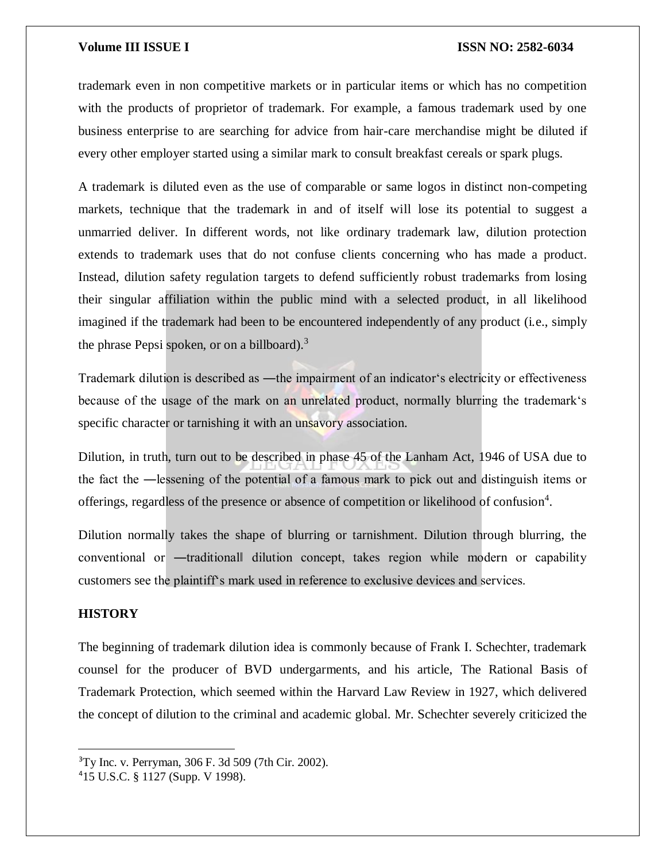trademark even in non competitive markets or in particular items or which has no competition with the products of proprietor of trademark. For example, a famous trademark used by one business enterprise to are searching for advice from hair-care merchandise might be diluted if every other employer started using a similar mark to consult breakfast cereals or spark plugs.

A trademark is diluted even as the use of comparable or same logos in distinct non-competing markets, technique that the trademark in and of itself will lose its potential to suggest a unmarried deliver. In different words, not like ordinary trademark law, dilution protection extends to trademark uses that do not confuse clients concerning who has made a product. Instead, dilution safety regulation targets to defend sufficiently robust trademarks from losing their singular affiliation within the public mind with a selected product, in all likelihood imagined if the trademark had been to be encountered independently of any product (i.e., simply the phrase Pepsi spoken, or on a billboard).<sup>3</sup>

Trademark dilution is described as —the impairment of an indicator's electricity or effectiveness because of the usage of the mark on an unrelated product, normally blurring the trademark's specific character or tarnishing it with an unsavory association.

Dilution, in truth, turn out to be described in phase 45 of the Lanham Act, 1946 of USA due to the fact the ―lessening of the potential of a famous mark to pick out and distinguish items or offerings, regardless of the presence or absence of competition or likelihood of confusion<sup>4</sup>.

Dilution normally takes the shape of blurring or tarnishment. Dilution through blurring, the conventional or ―traditional‖ dilution concept, takes region while modern or capability customers see the plaintiff's mark used in reference to exclusive devices and services.

### **HISTORY**

 $\overline{\phantom{a}}$ 

The beginning of trademark dilution idea is commonly because of Frank I. Schechter, trademark counsel for the producer of BVD undergarments, and his article, The Rational Basis of Trademark Protection, which seemed within the Harvard Law Review in 1927, which delivered the concept of dilution to the criminal and academic global. Mr. Schechter severely criticized the

<sup>3</sup>Ty Inc. v. Perryman, 306 F. 3d 509 (7th Cir. 2002).

<sup>4</sup>15 U.S.C. § 1127 (Supp. V 1998).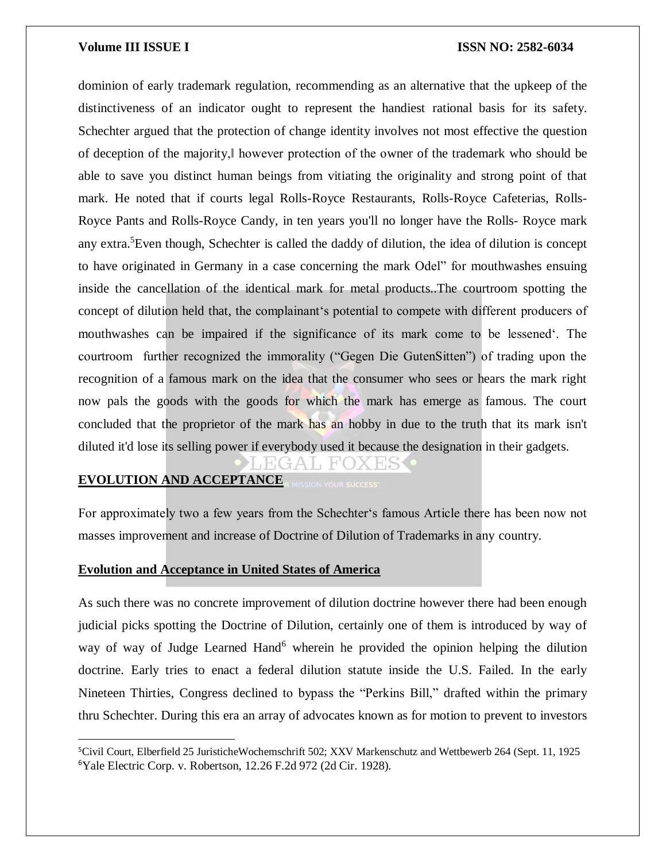dominion of early trademark regulation, recommending as an alternative that the upkeep of the distinctiveness of an indicator ought to represent the handiest rational basis for its safety. Schechter argued that the protection of change identity involves not most effective the question of deception of the majority,‖ however protection of the owner of the trademark who should be able to save you distinct human beings from vitiating the originality and strong point of that mark. He noted that if courts legal Rolls-Royce Restaurants, Rolls-Royce Cafeterias, Rolls-Royce Pants and Rolls-Royce Candy, in ten years you'll no longer have the Rolls- Royce mark any extra.<sup>5</sup>Even though, Schechter is called the daddy of dilution, the idea of dilution is concept to have originated in Germany in a case concerning the mark Odel" for mouthwashes ensuing inside the cancellation of the identical mark for metal products..The courtroom spotting the concept of dilution held that, the complainant's potential to compete with different producers of mouthwashes can be impaired if the significance of its mark come to be lessened'. The courtroom further recognized the immorality ("Gegen Die GutenSitten") of trading upon the recognition of a famous mark on the idea that the consumer who sees or hears the mark right now pals the goods with the goods for which the mark has emerge as famous. The court concluded that the proprietor of the mark has an hobby in due to the truth that its mark isn't diluted it'd lose its selling power if everybody used it because the designation in their gadgets.

#### **EVOLUTION AND ACCEPTANCE**

 $\overline{a}$ 

For approximately two a few years from the Schechter's famous Article there has been now not masses improvement and increase of Doctrine of Dilution of Trademarks in any country.

### **Evolution and Acceptance in United States of America**

As such there was no concrete improvement of dilution doctrine however there had been enough judicial picks spotting the Doctrine of Dilution, certainly one of them is introduced by way of way of way of Judge Learned Hand<sup>6</sup> wherein he provided the opinion helping the dilution doctrine. Early tries to enact a federal dilution statute inside the U.S. Failed. In the early Nineteen Thirties, Congress declined to bypass the "Perkins Bill," drafted within the primary thru Schechter. During this era an array of advocates known as for motion to prevent to investors

<sup>5</sup>Civil Court, Elberfield 25 JuristicheWochemschrift 502; XXV Markenschutz and Wettbewerb 264 (Sept. 11, 1925 6Yale Electric Corp. v. Robertson, 12.26 F.2d 972 (2d Cir. 1928).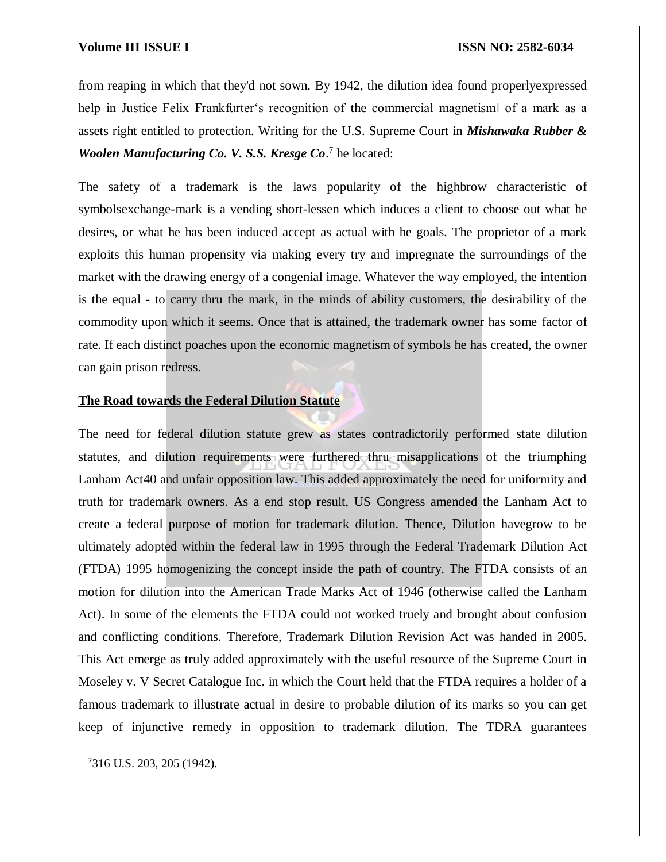from reaping in which that they'd not sown. By 1942, the dilution idea found properlyexpressed help in Justice Felix Frankfurter's recognition of the commercial magnetism‖ of a mark as a assets right entitled to protection. Writing for the U.S. Supreme Court in *Mishawaka Rubber &*  Woolen Manufacturing Co. V. S.S. Kresge Co.<sup>7</sup> he located:

The safety of a trademark is the laws popularity of the highbrow characteristic of symbolsexchange-mark is a vending short-lessen which induces a client to choose out what he desires, or what he has been induced accept as actual with he goals. The proprietor of a mark exploits this human propensity via making every try and impregnate the surroundings of the market with the drawing energy of a congenial image. Whatever the way employed, the intention is the equal - to carry thru the mark, in the minds of ability customers, the desirability of the commodity upon which it seems. Once that is attained, the trademark owner has some factor of rate. If each distinct poaches upon the economic magnetism of symbols he has created, the owner can gain prison redress.

### **The Road towards the Federal Dilution Statute**

The need for federal dilution statute grew as states contradictorily performed state dilution statutes, and dilution requirements were furthered thru misapplications of the triumphing Lanham Act40 and unfair opposition law. This added approximately the need for uniformity and truth for trademark owners. As a end stop result, US Congress amended the Lanham Act to create a federal purpose of motion for trademark dilution. Thence, Dilution havegrow to be ultimately adopted within the federal law in 1995 through the Federal Trademark Dilution Act (FTDA) 1995 homogenizing the concept inside the path of country. The FTDA consists of an motion for dilution into the American Trade Marks Act of 1946 (otherwise called the Lanham Act). In some of the elements the FTDA could not worked truely and brought about confusion and conflicting conditions. Therefore, Trademark Dilution Revision Act was handed in 2005. This Act emerge as truly added approximately with the useful resource of the Supreme Court in Moseley v. V Secret Catalogue Inc. in which the Court held that the FTDA requires a holder of a famous trademark to illustrate actual in desire to probable dilution of its marks so you can get keep of injunctive remedy in opposition to trademark dilution. The TDRA guarantees

 $\overline{a}$ 

<sup>7</sup>316 U.S. 203, 205 (1942).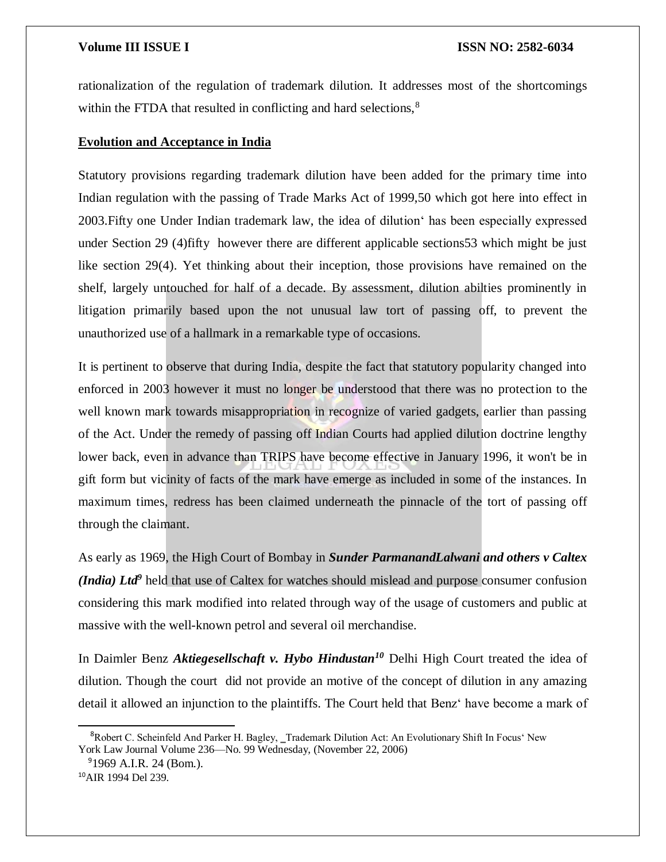rationalization of the regulation of trademark dilution. It addresses most of the shortcomings within the FTDA that resulted in conflicting and hard selections,<sup>8</sup>

#### **Evolution and Acceptance in India**

Statutory provisions regarding trademark dilution have been added for the primary time into Indian regulation with the passing of Trade Marks Act of 1999,50 which got here into effect in 2003.Fifty one Under Indian trademark law, the idea of dilution' has been especially expressed under Section 29 (4)fifty however there are different applicable sections53 which might be just like section 29(4). Yet thinking about their inception, those provisions have remained on the shelf, largely untouched for half of a decade. By assessment, dilution abilties prominently in litigation primarily based upon the not unusual law tort of passing off, to prevent the unauthorized use of a hallmark in a remarkable type of occasions.

It is pertinent to observe that during India, despite the fact that statutory popularity changed into enforced in 2003 however it must no longer be understood that there was no protection to the well known mark towards misappropriation in recognize of varied gadgets, earlier than passing of the Act. Under the remedy of passing off Indian Courts had applied dilution doctrine lengthy lower back, even in advance than TRIPS have become effective in January 1996, it won't be in gift form but vicinity of facts of the mark have emerge as included in some of the instances. In maximum times, redress has been claimed underneath the pinnacle of the tort of passing off through the claimant.

As early as 1969, the High Court of Bombay in *Sunder ParmanandLalwani and others v Caltex (India) Ltd<sup>9</sup>* held that use of Caltex for watches should mislead and purpose consumer confusion considering this mark modified into related through way of the usage of customers and public at massive with the well-known petrol and several oil merchandise.

In Daimler Benz *Aktiegesellschaft v. Hybo Hindustan<sup>10</sup>* Delhi High Court treated the idea of dilution. Though the court did not provide an motive of the concept of dilution in any amazing detail it allowed an injunction to the plaintiffs. The Court held that Benz' have become a mark of

 $\overline{a}$ 

<sup>&</sup>lt;sup>8</sup>Robert C. Scheinfeld And Parker H. Bagley, Trademark Dilution Act: An Evolutionary Shift In Focus' New York Law Journal Volume 236—No. 99 Wednesday, (November 22, 2006)

<sup>9</sup>1969 A.I.R. 24 (Bom.).

<sup>10</sup>AIR 1994 Del 239.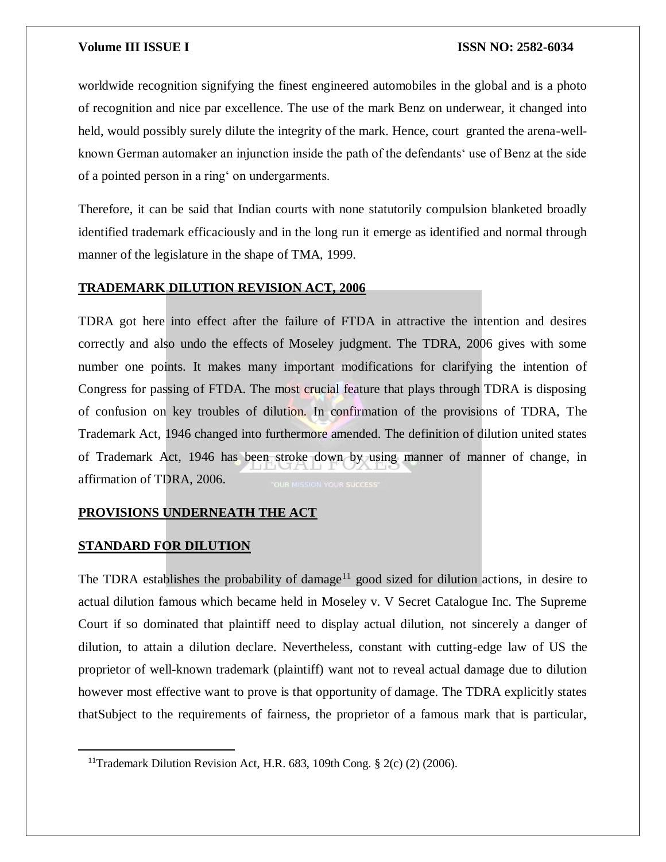worldwide recognition signifying the finest engineered automobiles in the global and is a photo of recognition and nice par excellence. The use of the mark Benz on underwear, it changed into held, would possibly surely dilute the integrity of the mark. Hence, court granted the arena-wellknown German automaker an injunction inside the path of the defendants' use of Benz at the side of a pointed person in a ring' on undergarments.

Therefore, it can be said that Indian courts with none statutorily compulsion blanketed broadly identified trademark efficaciously and in the long run it emerge as identified and normal through manner of the legislature in the shape of TMA, 1999.

#### **TRADEMARK DILUTION REVISION ACT, 2006**

TDRA got here into effect after the failure of FTDA in attractive the intention and desires correctly and also undo the effects of Moseley judgment. The TDRA, 2006 gives with some number one points. It makes many important modifications for clarifying the intention of Congress for passing of FTDA. The most crucial feature that plays through TDRA is disposing of confusion on key troubles of dilution. In confirmation of the provisions of TDRA, The Trademark Act, 1946 changed into furthermore amended. The definition of dilution united states of Trademark Act, 1946 has been stroke down by using manner of manner of change, in affirmation of TDRA, 2006.

### **PROVISIONS UNDERNEATH THE ACT**

### **STANDARD FOR DILUTION**

 $\overline{\phantom{a}}$ 

The TDRA establishes the probability of damage<sup>11</sup> good sized for dilution actions, in desire to actual dilution famous which became held in Moseley v. V Secret Catalogue Inc. The Supreme Court if so dominated that plaintiff need to display actual dilution, not sincerely a danger of dilution, to attain a dilution declare. Nevertheless, constant with cutting-edge law of US the proprietor of well-known trademark (plaintiff) want not to reveal actual damage due to dilution however most effective want to prove is that opportunity of damage. The TDRA explicitly states thatSubject to the requirements of fairness, the proprietor of a famous mark that is particular,

<sup>&</sup>lt;sup>11</sup>Trademark Dilution Revision Act, H.R. 683, 109th Cong.  $\S$  2(c) (2) (2006).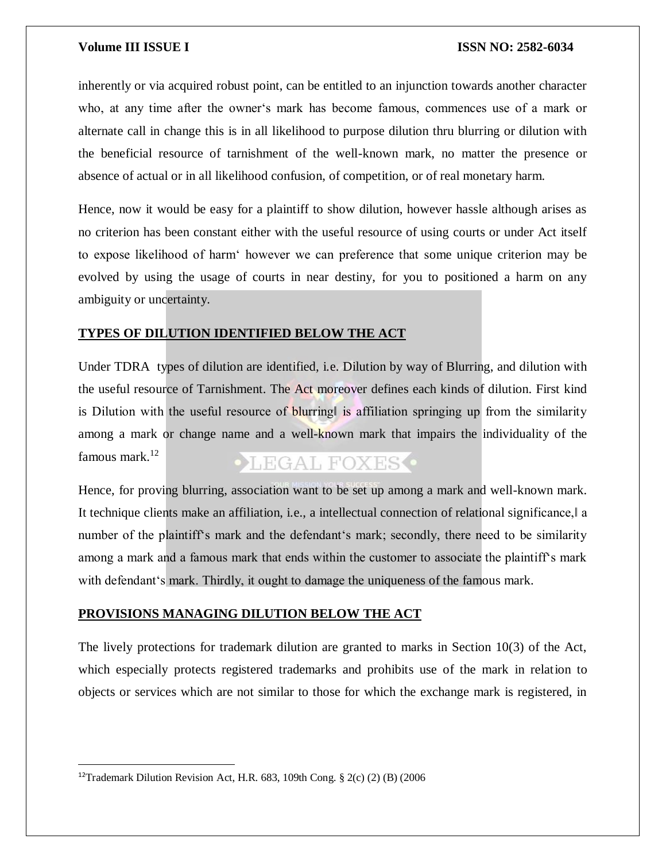inherently or via acquired robust point, can be entitled to an injunction towards another character who, at any time after the owner's mark has become famous, commences use of a mark or alternate call in change this is in all likelihood to purpose dilution thru blurring or dilution with the beneficial resource of tarnishment of the well-known mark, no matter the presence or absence of actual or in all likelihood confusion, of competition, or of real monetary harm.

Hence, now it would be easy for a plaintiff to show dilution, however hassle although arises as no criterion has been constant either with the useful resource of using courts or under Act itself to expose likelihood of harm' however we can preference that some unique criterion may be evolved by using the usage of courts in near destiny, for you to positioned a harm on any ambiguity or uncertainty.

### **TYPES OF DILUTION IDENTIFIED BELOW THE ACT**

Under TDRA types of dilution are identified, i.e. Dilution by way of Blurring, and dilution with the useful resource of Tarnishment. The Act moreover defines each kinds of dilution. First kind is Dilution with the useful resource of blurring is affiliation springing up from the similarity among a mark or change name and a well-known mark that impairs the individuality of the famous mark. $12$ **OLEGAL FOXES** 

Hence, for proving blurring, association want to be set up among a mark and well-known mark. It technique clients make an affiliation, i.e., a intellectual connection of relational significance, a number of the plaintiff's mark and the defendant's mark; secondly, there need to be similarity among a mark and a famous mark that ends within the customer to associate the plaintiff's mark with defendant's mark. Thirdly, it ought to damage the uniqueness of the famous mark.

#### **PROVISIONS MANAGING DILUTION BELOW THE ACT**

The lively protections for trademark dilution are granted to marks in Section  $10(3)$  of the Act, which especially protects registered trademarks and prohibits use of the mark in relation to objects or services which are not similar to those for which the exchange mark is registered, in

 $\overline{a}$ 

<sup>&</sup>lt;sup>12</sup>Trademark Dilution Revision Act, H.R. 683, 109th Cong. § 2(c) (2) (B) (2006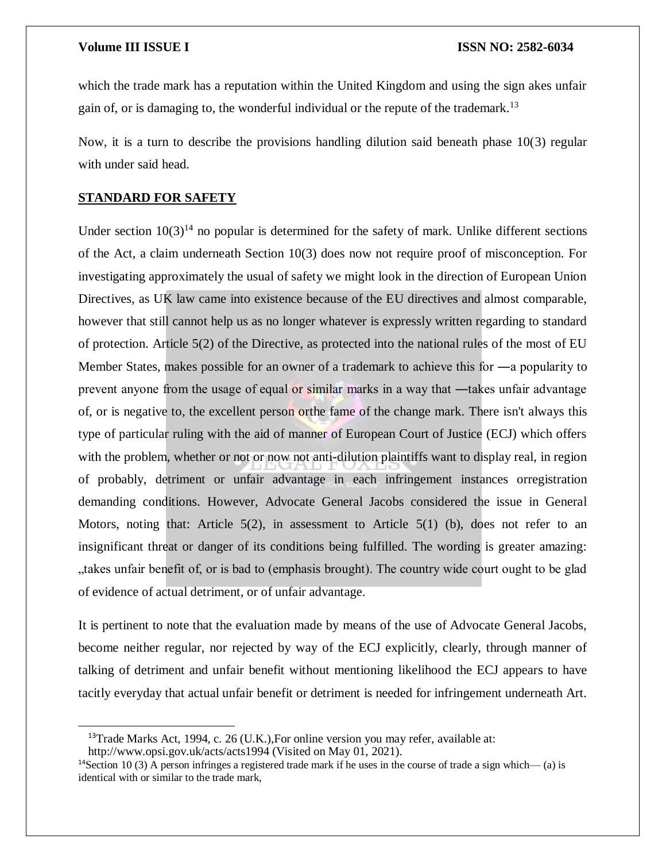which the trade mark has a reputation within the United Kingdom and using the sign akes unfair gain of, or is damaging to, the wonderful individual or the repute of the trademark.<sup>13</sup>

Now, it is a turn to describe the provisions handling dilution said beneath phase 10(3) regular with under said head.

### **STANDARD FOR SAFETY**

 $\overline{\phantom{a}}$ 

Under section  $10(3)^{14}$  no popular is determined for the safety of mark. Unlike different sections of the Act, a claim underneath Section 10(3) does now not require proof of misconception. For investigating approximately the usual of safety we might look in the direction of European Union Directives, as UK law came into existence because of the EU directives and almost comparable, however that still cannot help us as no longer whatever is expressly written regarding to standard of protection. Article 5(2) of the Directive, as protected into the national rules of the most of EU Member States, makes possible for an owner of a trademark to achieve this for —a popularity to prevent anyone from the usage of equal or similar marks in a way that —takes unfair advantage of, or is negative to, the excellent person orthe fame of the change mark. There isn't always this type of particular ruling with the aid of manner of European Court of Justice (ECJ) which offers with the problem, whether or not or now not anti-dilution plaintiffs want to display real, in region of probably, detriment or unfair advantage in each infringement instances orregistration demanding conditions. However, Advocate General Jacobs considered the issue in General Motors, noting that: Article 5(2), in assessment to Article 5(1) (b), does not refer to an insignificant threat or danger of its conditions being fulfilled. The wording is greater amazing: "takes unfair benefit of, or is bad to (emphasis brought). The country wide court ought to be glad of evidence of actual detriment, or of unfair advantage.

It is pertinent to note that the evaluation made by means of the use of Advocate General Jacobs, become neither regular, nor rejected by way of the ECJ explicitly, clearly, through manner of talking of detriment and unfair benefit without mentioning likelihood the ECJ appears to have tacitly everyday that actual unfair benefit or detriment is needed for infringement underneath Art.

<sup>&</sup>lt;sup>13</sup>Trade Marks Act, 1994, c. 26 (U.K.), For online version you may refer, available at: http://www.opsi.gov.uk/acts/acts1994 (Visited on May 01, 2021).

<sup>&</sup>lt;sup>14</sup>Section 10 (3) A person infringes a registered trade mark if he uses in the course of trade a sign which— (a) is identical with or similar to the trade mark,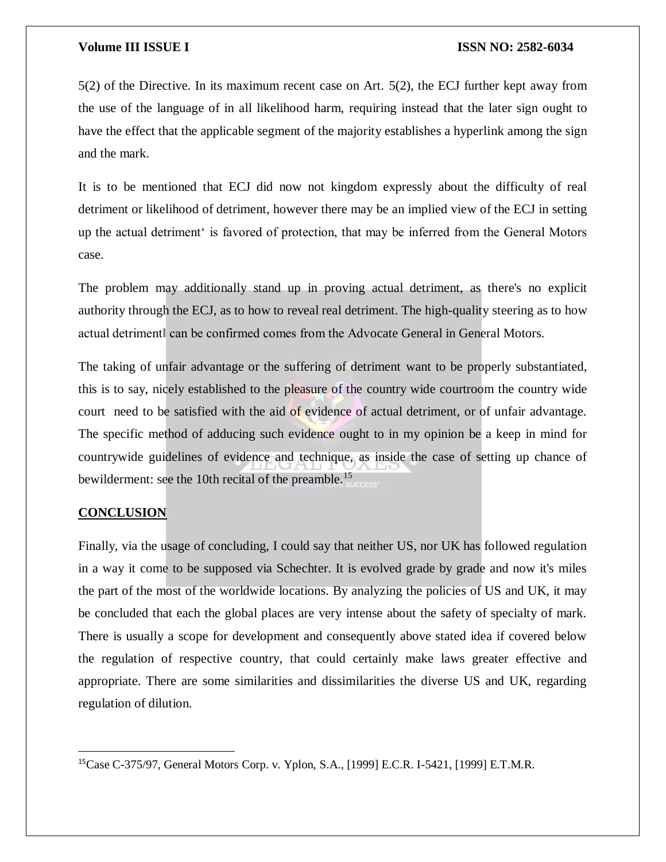5(2) of the Directive. In its maximum recent case on Art. 5(2), the ECJ further kept away from the use of the language of in all likelihood harm, requiring instead that the later sign ought to have the effect that the applicable segment of the majority establishes a hyperlink among the sign and the mark.

It is to be mentioned that ECJ did now not kingdom expressly about the difficulty of real detriment or likelihood of detriment, however there may be an implied view of the ECJ in setting up the actual detriment' is favored of protection, that may be inferred from the General Motors case.

The problem may additionally stand up in proving actual detriment, as there's no explicit authority through the ECJ, as to how to reveal real detriment. The high-quality steering as to how actual detriment‖ can be confirmed comes from the Advocate General in General Motors.

The taking of unfair advantage or the suffering of detriment want to be properly substantiated, this is to say, nicely established to the pleasure of the country wide courtroom the country wide court need to be satisfied with the aid of evidence of actual detriment, or of unfair advantage. The specific method of adducing such evidence ought to in my opinion be a keep in mind for countrywide guidelines of evidence and technique, as inside the case of setting up chance of bewilderment: see the 10th recital of the preamble.<sup>15</sup>

#### **CONCLUSION**

 $\overline{\phantom{a}}$ 

Finally, via the usage of concluding, I could say that neither US, nor UK has followed regulation in a way it come to be supposed via Schechter. It is evolved grade by grade and now it's miles the part of the most of the worldwide locations. By analyzing the policies of US and UK, it may be concluded that each the global places are very intense about the safety of specialty of mark. There is usually a scope for development and consequently above stated idea if covered below the regulation of respective country, that could certainly make laws greater effective and appropriate. There are some similarities and dissimilarities the diverse US and UK, regarding regulation of dilution.

<sup>15</sup>Case C-375/97, General Motors Corp. v. Yplon, S.A., [1999] E.C.R. I-5421, [1999] E.T.M.R.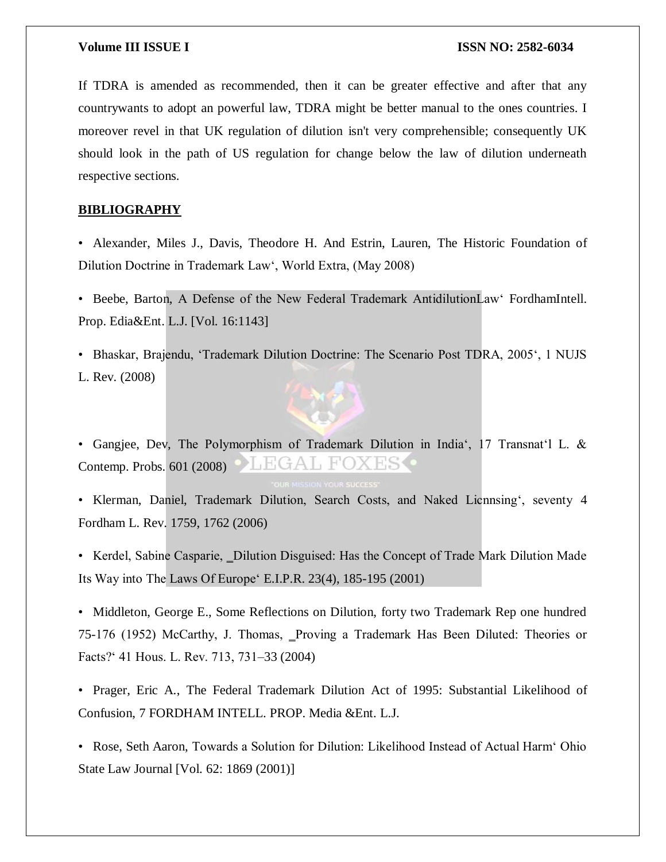If TDRA is amended as recommended, then it can be greater effective and after that any countrywants to adopt an powerful law, TDRA might be better manual to the ones countries. I moreover revel in that UK regulation of dilution isn't very comprehensible; consequently UK should look in the path of US regulation for change below the law of dilution underneath respective sections.

#### **BIBLIOGRAPHY**

• Alexander, Miles J., Davis, Theodore H. And Estrin, Lauren, The Historic Foundation of Dilution Doctrine in Trademark Law', World Extra, (May 2008)

• Beebe, Barton, A Defense of the New Federal Trademark AntidilutionLaw' FordhamIntell. Prop. Edia&Ent. L.J. [Vol. 16:1143]

• Bhaskar, Brajendu, 'Trademark Dilution Doctrine: The Scenario Post TDRA, 2005', 1 NUJS L. Rev. (2008)



• Gangjee, Dev, The Polymorphism of Trademark Dilution in India', 17 Transnat'l L. & HGA Contemp. Probs. 601 (2008)

• Klerman, Daniel, Trademark Dilution, Search Costs, and Naked Licnnsing', seventy 4 Fordham L. Rev. 1759, 1762 (2006)

• Kerdel, Sabine Casparie, Dilution Disguised: Has the Concept of Trade Mark Dilution Made Its Way into The Laws Of Europe' E.I.P.R. 23(4), 185-195 (2001)

• Middleton, George E., Some Reflections on Dilution, forty two Trademark Rep one hundred 75-176 (1952) McCarthy, J. Thomas, Proving a Trademark Has Been Diluted: Theories or Facts?' 41 Hous. L. Rev. 713, 731–33 (2004)

• Prager, Eric A., The Federal Trademark Dilution Act of 1995: Substantial Likelihood of Confusion, 7 FORDHAM INTELL. PROP. Media &Ent. L.J.

• Rose, Seth Aaron, Towards a Solution for Dilution: Likelihood Instead of Actual Harm' Ohio State Law Journal [Vol. 62: 1869 (2001)]